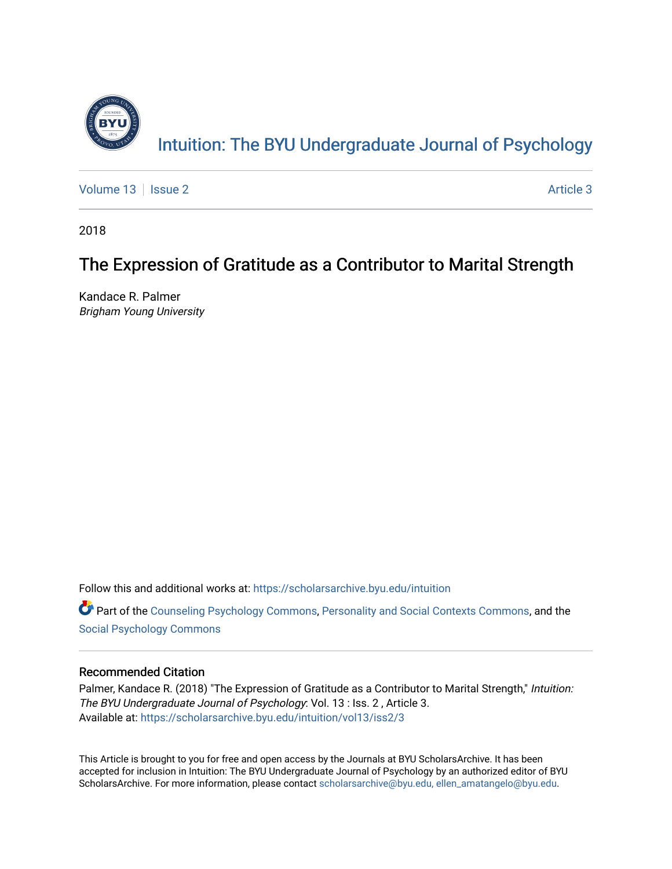

[Volume 13](https://scholarsarchive.byu.edu/intuition/vol13) | [Issue 2](https://scholarsarchive.byu.edu/intuition/vol13/iss2) [Article 3](https://scholarsarchive.byu.edu/intuition/vol13/iss2/3) | Article 3 Article 3 | Article 3 | Article 3 | Article 3 | Article 3 | Article 3

2018

# The Expression of Gratitude as a Contributor to Marital Strength

Kandace R. Palmer Brigham Young University

Follow this and additional works at: [https://scholarsarchive.byu.edu/intuition](https://scholarsarchive.byu.edu/intuition?utm_source=scholarsarchive.byu.edu%2Fintuition%2Fvol13%2Fiss2%2F3&utm_medium=PDF&utm_campaign=PDFCoverPages) 

**C** Part of the [Counseling Psychology Commons](http://network.bepress.com/hgg/discipline/1044?utm_source=scholarsarchive.byu.edu%2Fintuition%2Fvol13%2Fiss2%2F3&utm_medium=PDF&utm_campaign=PDFCoverPages), [Personality and Social Contexts Commons,](http://network.bepress.com/hgg/discipline/413?utm_source=scholarsarchive.byu.edu%2Fintuition%2Fvol13%2Fiss2%2F3&utm_medium=PDF&utm_campaign=PDFCoverPages) and the [Social Psychology Commons](http://network.bepress.com/hgg/discipline/414?utm_source=scholarsarchive.byu.edu%2Fintuition%2Fvol13%2Fiss2%2F3&utm_medium=PDF&utm_campaign=PDFCoverPages)

# Recommended Citation

Palmer, Kandace R. (2018) "The Expression of Gratitude as a Contributor to Marital Strength," Intuition: The BYU Undergraduate Journal of Psychology: Vol. 13 : Iss. 2 , Article 3. Available at: [https://scholarsarchive.byu.edu/intuition/vol13/iss2/3](https://scholarsarchive.byu.edu/intuition/vol13/iss2/3?utm_source=scholarsarchive.byu.edu%2Fintuition%2Fvol13%2Fiss2%2F3&utm_medium=PDF&utm_campaign=PDFCoverPages) 

This Article is brought to you for free and open access by the Journals at BYU ScholarsArchive. It has been accepted for inclusion in Intuition: The BYU Undergraduate Journal of Psychology by an authorized editor of BYU ScholarsArchive. For more information, please contact [scholarsarchive@byu.edu, ellen\\_amatangelo@byu.edu.](mailto:scholarsarchive@byu.edu,%20ellen_amatangelo@byu.edu)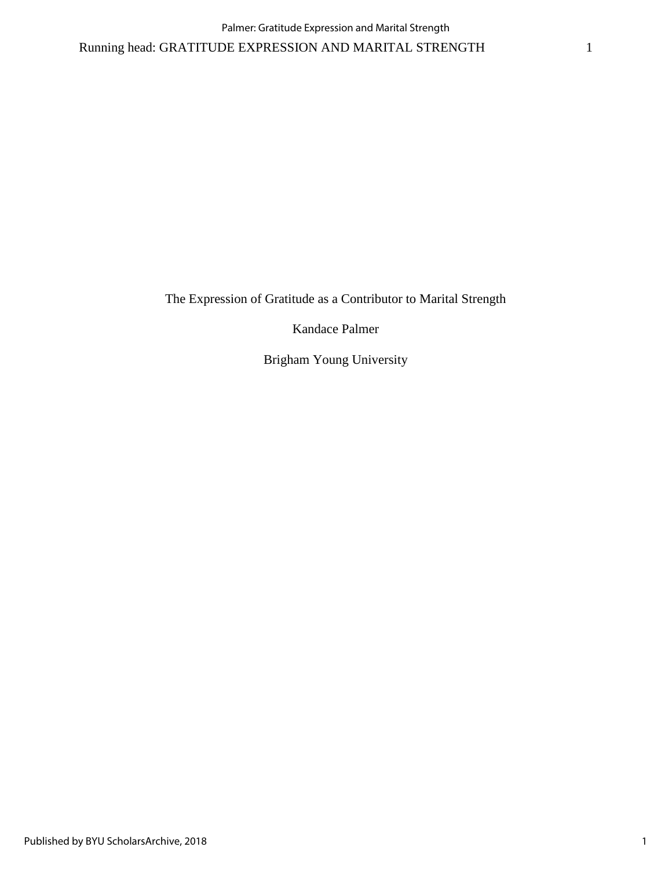The Expression of Gratitude as a Contributor to Marital Strength

Kandace Palmer

Brigham Young University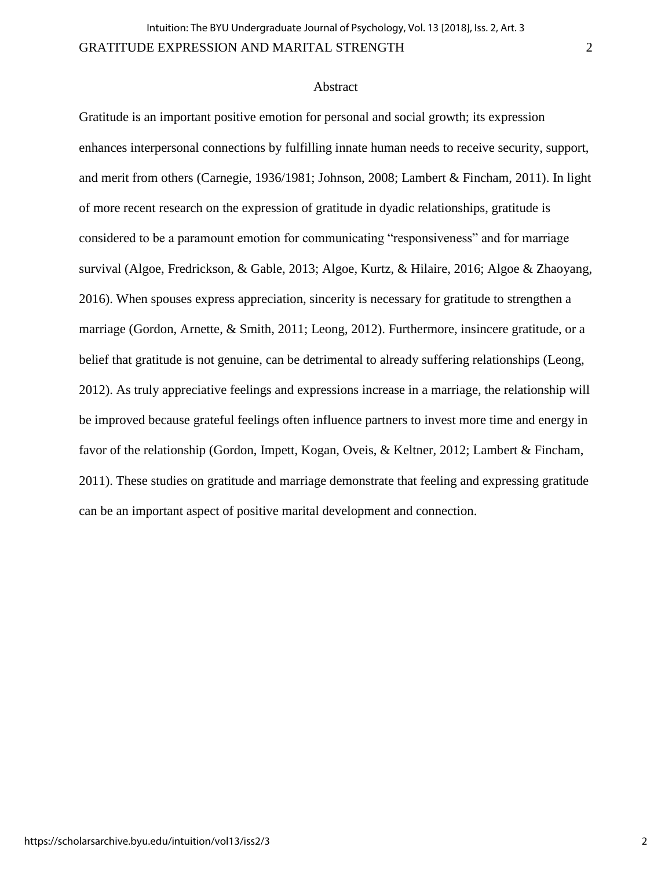## **Abstract**

Gratitude is an important positive emotion for personal and social growth; its expression enhances interpersonal connections by fulfilling innate human needs to receive security, support, and merit from others (Carnegie, 1936/1981; Johnson, 2008; Lambert & Fincham, 2011). In light of more recent research on the expression of gratitude in dyadic relationships, gratitude is considered to be a paramount emotion for communicating "responsiveness" and for marriage survival (Algoe, Fredrickson, & Gable, 2013; Algoe, Kurtz, & Hilaire, 2016; Algoe & Zhaoyang, 2016). When spouses express appreciation, sincerity is necessary for gratitude to strengthen a marriage (Gordon, Arnette, & Smith, 2011; Leong, 2012). Furthermore, insincere gratitude, or a belief that gratitude is not genuine, can be detrimental to already suffering relationships (Leong, 2012). As truly appreciative feelings and expressions increase in a marriage, the relationship will be improved because grateful feelings often influence partners to invest more time and energy in favor of the relationship (Gordon, Impett, Kogan, Oveis, & Keltner, 2012; Lambert & Fincham, 2011). These studies on gratitude and marriage demonstrate that feeling and expressing gratitude can be an important aspect of positive marital development and connection.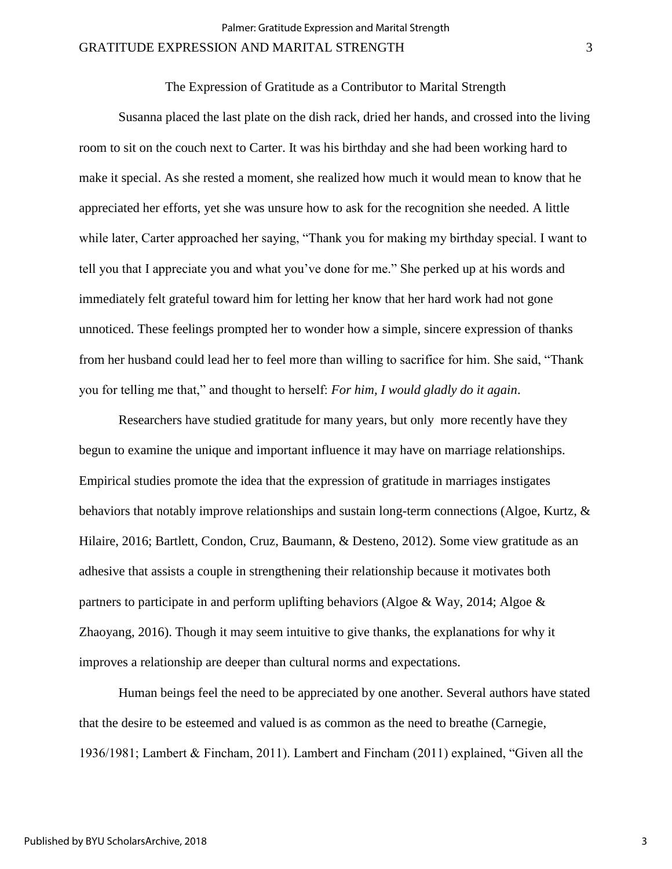The Expression of Gratitude as a Contributor to Marital Strength

Susanna placed the last plate on the dish rack, dried her hands, and crossed into the living room to sit on the couch next to Carter. It was his birthday and she had been working hard to make it special. As she rested a moment, she realized how much it would mean to know that he appreciated her efforts, yet she was unsure how to ask for the recognition she needed. A little while later, Carter approached her saying, "Thank you for making my birthday special. I want to tell you that I appreciate you and what you've done for me." She perked up at his words and immediately felt grateful toward him for letting her know that her hard work had not gone unnoticed. These feelings prompted her to wonder how a simple, sincere expression of thanks from her husband could lead her to feel more than willing to sacrifice for him. She said, "Thank you for telling me that," and thought to herself: *For him, I would gladly do it again*.

Researchers have studied gratitude for many years, but only more recently have they begun to examine the unique and important influence it may have on marriage relationships. Empirical studies promote the idea that the expression of gratitude in marriages instigates behaviors that notably improve relationships and sustain long-term connections (Algoe, Kurtz, & Hilaire, 2016; Bartlett, Condon, Cruz, Baumann, & Desteno, 2012). Some view gratitude as an adhesive that assists a couple in strengthening their relationship because it motivates both partners to participate in and perform uplifting behaviors (Algoe & Way, 2014; Algoe & Zhaoyang, 2016). Though it may seem intuitive to give thanks, the explanations for why it improves a relationship are deeper than cultural norms and expectations.

Human beings feel the need to be appreciated by one another. Several authors have stated that the desire to be esteemed and valued is as common as the need to breathe (Carnegie, 1936/1981; Lambert & Fincham, 2011). Lambert and Fincham (2011) explained, "Given all the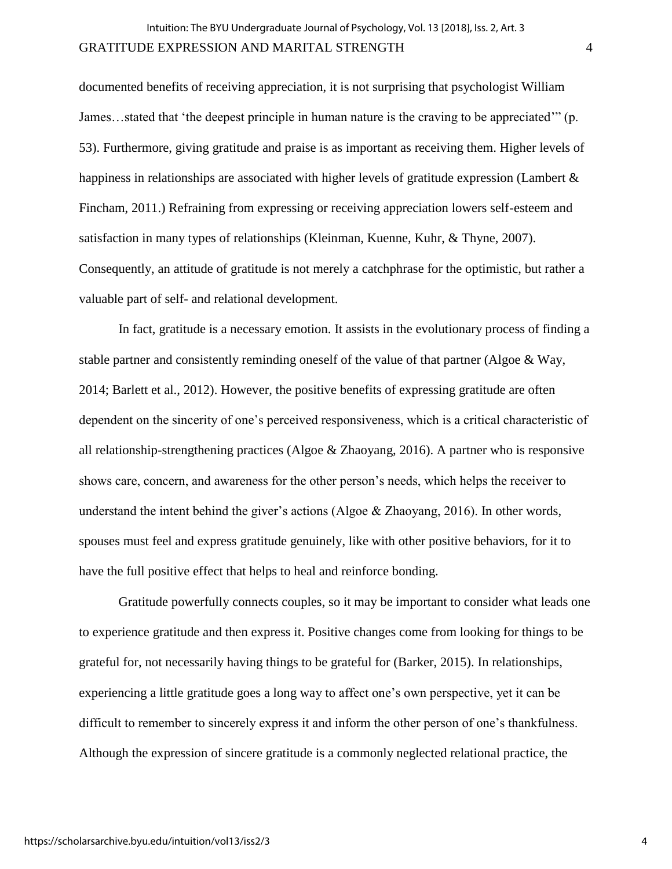documented benefits of receiving appreciation, it is not surprising that psychologist William James…stated that 'the deepest principle in human nature is the craving to be appreciated'" (p. 53). Furthermore, giving gratitude and praise is as important as receiving them. Higher levels of happiness in relationships are associated with higher levels of gratitude expression (Lambert & Fincham, 2011.) Refraining from expressing or receiving appreciation lowers self-esteem and satisfaction in many types of relationships (Kleinman, Kuenne, Kuhr, & Thyne, 2007). Consequently, an attitude of gratitude is not merely a catchphrase for the optimistic, but rather a valuable part of self- and relational development.

In fact, gratitude is a necessary emotion. It assists in the evolutionary process of finding a stable partner and consistently reminding oneself of the value of that partner (Algoe & Way, 2014; Barlett et al., 2012). However, the positive benefits of expressing gratitude are often dependent on the sincerity of one's perceived responsiveness, which is a critical characteristic of all relationship-strengthening practices (Algoe & Zhaoyang, 2016). A partner who is responsive shows care, concern, and awareness for the other person's needs, which helps the receiver to understand the intent behind the giver's actions (Algoe & Zhaoyang, 2016). In other words, spouses must feel and express gratitude genuinely, like with other positive behaviors, for it to have the full positive effect that helps to heal and reinforce bonding.

Gratitude powerfully connects couples, so it may be important to consider what leads one to experience gratitude and then express it. Positive changes come from looking for things to be grateful for, not necessarily having things to be grateful for (Barker, 2015). In relationships, experiencing a little gratitude goes a long way to affect one's own perspective, yet it can be difficult to remember to sincerely express it and inform the other person of one's thankfulness. Although the expression of sincere gratitude is a commonly neglected relational practice, the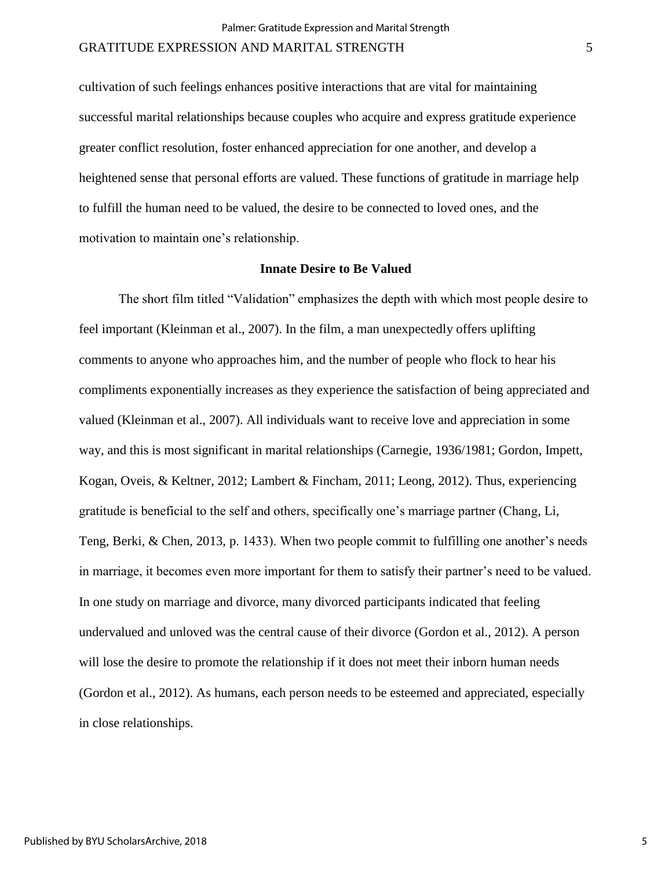cultivation of such feelings enhances positive interactions that are vital for maintaining successful marital relationships because couples who acquire and express gratitude experience greater conflict resolution, foster enhanced appreciation for one another, and develop a heightened sense that personal efforts are valued. These functions of gratitude in marriage help to fulfill the human need to be valued, the desire to be connected to loved ones, and the motivation to maintain one's relationship.

## **Innate Desire to Be Valued**

The short film titled "Validation" emphasizes the depth with which most people desire to feel important (Kleinman et al., 2007). In the film, a man unexpectedly offers uplifting comments to anyone who approaches him, and the number of people who flock to hear his compliments exponentially increases as they experience the satisfaction of being appreciated and valued (Kleinman et al., 2007). All individuals want to receive love and appreciation in some way, and this is most significant in marital relationships (Carnegie, 1936/1981; Gordon, Impett, Kogan, Oveis, & Keltner, 2012; Lambert & Fincham, 2011; Leong, 2012). Thus, experiencing gratitude is beneficial to the self and others, specifically one's marriage partner (Chang, Li, Teng, Berki, & Chen, 2013, p. 1433). When two people commit to fulfilling one another's needs in marriage, it becomes even more important for them to satisfy their partner's need to be valued. In one study on marriage and divorce, many divorced participants indicated that feeling undervalued and unloved was the central cause of their divorce (Gordon et al., 2012). A person will lose the desire to promote the relationship if it does not meet their inborn human needs (Gordon et al., 2012). As humans, each person needs to be esteemed and appreciated, especially in close relationships.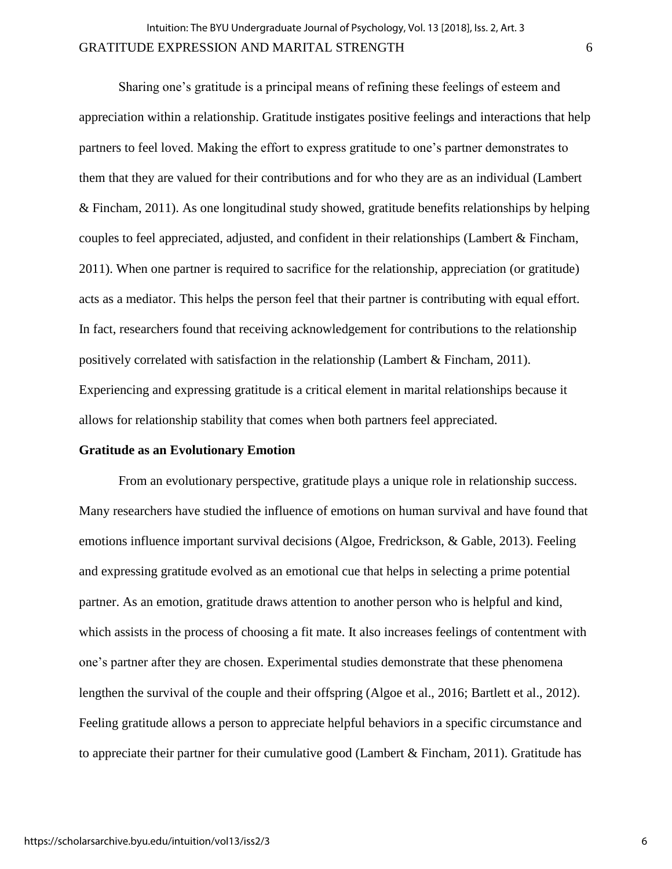Sharing one's gratitude is a principal means of refining these feelings of esteem and appreciation within a relationship. Gratitude instigates positive feelings and interactions that help partners to feel loved. Making the effort to express gratitude to one's partner demonstrates to them that they are valued for their contributions and for who they are as an individual (Lambert & Fincham, 2011). As one longitudinal study showed, gratitude benefits relationships by helping couples to feel appreciated, adjusted, and confident in their relationships (Lambert & Fincham, 2011). When one partner is required to sacrifice for the relationship, appreciation (or gratitude) acts as a mediator. This helps the person feel that their partner is contributing with equal effort. In fact, researchers found that receiving acknowledgement for contributions to the relationship positively correlated with satisfaction in the relationship (Lambert & Fincham, 2011). Experiencing and expressing gratitude is a critical element in marital relationships because it allows for relationship stability that comes when both partners feel appreciated.

## **Gratitude as an Evolutionary Emotion**

From an evolutionary perspective, gratitude plays a unique role in relationship success. Many researchers have studied the influence of emotions on human survival and have found that emotions influence important survival decisions (Algoe, Fredrickson, & Gable, 2013). Feeling and expressing gratitude evolved as an emotional cue that helps in selecting a prime potential partner. As an emotion, gratitude draws attention to another person who is helpful and kind, which assists in the process of choosing a fit mate. It also increases feelings of contentment with one's partner after they are chosen. Experimental studies demonstrate that these phenomena lengthen the survival of the couple and their offspring (Algoe et al., 2016; Bartlett et al., 2012). Feeling gratitude allows a person to appreciate helpful behaviors in a specific circumstance and to appreciate their partner for their cumulative good (Lambert & Fincham, 2011). Gratitude has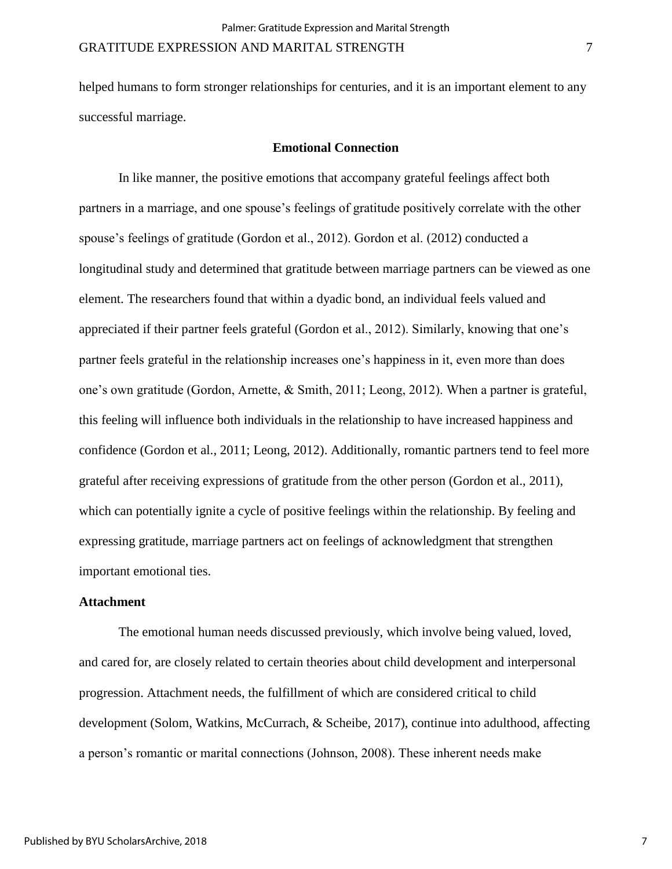helped humans to form stronger relationships for centuries, and it is an important element to any successful marriage.

## **Emotional Connection**

In like manner, the positive emotions that accompany grateful feelings affect both partners in a marriage, and one spouse's feelings of gratitude positively correlate with the other spouse's feelings of gratitude (Gordon et al., 2012). Gordon et al. (2012) conducted a longitudinal study and determined that gratitude between marriage partners can be viewed as one element. The researchers found that within a dyadic bond, an individual feels valued and appreciated if their partner feels grateful (Gordon et al., 2012). Similarly, knowing that one's partner feels grateful in the relationship increases one's happiness in it, even more than does one's own gratitude (Gordon, Arnette, & Smith, 2011; Leong, 2012). When a partner is grateful, this feeling will influence both individuals in the relationship to have increased happiness and confidence (Gordon et al., 2011; Leong, 2012). Additionally, romantic partners tend to feel more grateful after receiving expressions of gratitude from the other person (Gordon et al., 2011), which can potentially ignite a cycle of positive feelings within the relationship. By feeling and expressing gratitude, marriage partners act on feelings of acknowledgment that strengthen important emotional ties.

#### **Attachment**

The emotional human needs discussed previously, which involve being valued, loved, and cared for, are closely related to certain theories about child development and interpersonal progression. Attachment needs, the fulfillment of which are considered critical to child development (Solom, Watkins, McCurrach, & Scheibe, 2017), continue into adulthood, affecting a person's romantic or marital connections (Johnson, 2008). These inherent needs make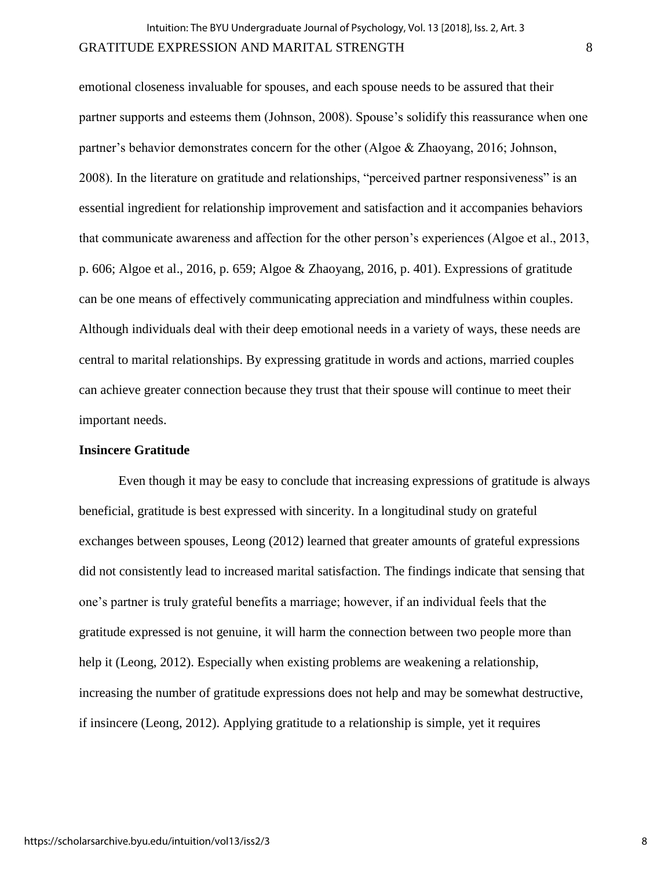emotional closeness invaluable for spouses, and each spouse needs to be assured that their partner supports and esteems them (Johnson, 2008). Spouse's solidify this reassurance when one partner's behavior demonstrates concern for the other (Algoe & Zhaoyang, 2016; Johnson, 2008). In the literature on gratitude and relationships, "perceived partner responsiveness" is an essential ingredient for relationship improvement and satisfaction and it accompanies behaviors that communicate awareness and affection for the other person's experiences (Algoe et al., 2013, p. 606; Algoe et al., 2016, p. 659; Algoe & Zhaoyang, 2016, p. 401). Expressions of gratitude can be one means of effectively communicating appreciation and mindfulness within couples. Although individuals deal with their deep emotional needs in a variety of ways, these needs are central to marital relationships. By expressing gratitude in words and actions, married couples can achieve greater connection because they trust that their spouse will continue to meet their important needs.

# **Insincere Gratitude**

Even though it may be easy to conclude that increasing expressions of gratitude is always beneficial, gratitude is best expressed with sincerity. In a longitudinal study on grateful exchanges between spouses, Leong (2012) learned that greater amounts of grateful expressions did not consistently lead to increased marital satisfaction. The findings indicate that sensing that one's partner is truly grateful benefits a marriage; however, if an individual feels that the gratitude expressed is not genuine, it will harm the connection between two people more than help it (Leong, 2012). Especially when existing problems are weakening a relationship, increasing the number of gratitude expressions does not help and may be somewhat destructive, if insincere (Leong, 2012). Applying gratitude to a relationship is simple, yet it requires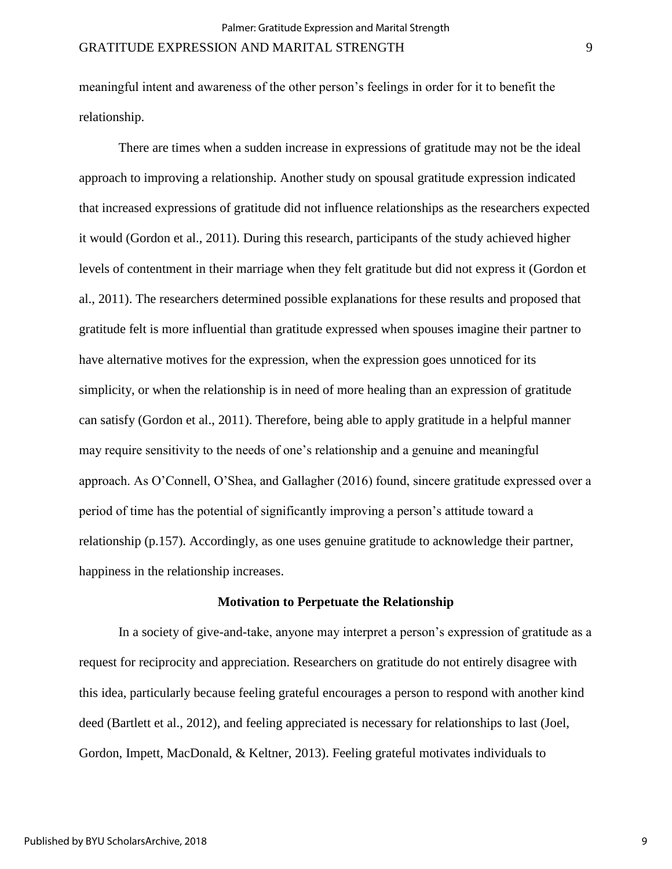meaningful intent and awareness of the other person's feelings in order for it to benefit the relationship.

There are times when a sudden increase in expressions of gratitude may not be the ideal approach to improving a relationship. Another study on spousal gratitude expression indicated that increased expressions of gratitude did not influence relationships as the researchers expected it would (Gordon et al., 2011). During this research, participants of the study achieved higher levels of contentment in their marriage when they felt gratitude but did not express it (Gordon et al., 2011). The researchers determined possible explanations for these results and proposed that gratitude felt is more influential than gratitude expressed when spouses imagine their partner to have alternative motives for the expression, when the expression goes unnoticed for its simplicity, or when the relationship is in need of more healing than an expression of gratitude can satisfy (Gordon et al., 2011). Therefore, being able to apply gratitude in a helpful manner may require sensitivity to the needs of one's relationship and a genuine and meaningful approach. As O'Connell, O'Shea, and Gallagher (2016) found, sincere gratitude expressed over a period of time has the potential of significantly improving a person's attitude toward a relationship (p.157). Accordingly, as one uses genuine gratitude to acknowledge their partner, happiness in the relationship increases.

#### **Motivation to Perpetuate the Relationship**

In a society of give-and-take, anyone may interpret a person's expression of gratitude as a request for reciprocity and appreciation. Researchers on gratitude do not entirely disagree with this idea, particularly because feeling grateful encourages a person to respond with another kind deed (Bartlett et al., 2012), and feeling appreciated is necessary for relationships to last (Joel, Gordon, Impett, MacDonald, & Keltner, 2013). Feeling grateful motivates individuals to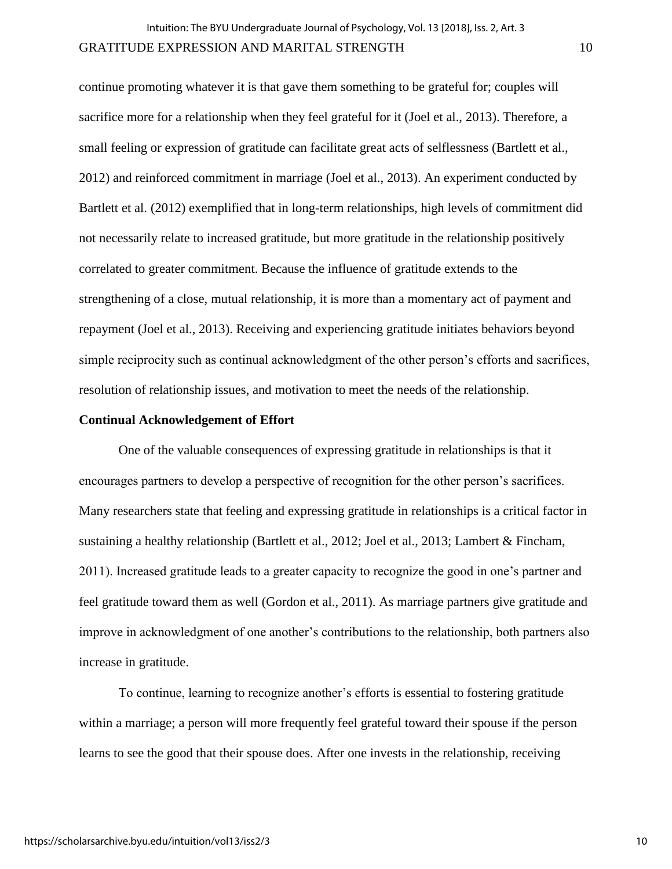continue promoting whatever it is that gave them something to be grateful for; couples will sacrifice more for a relationship when they feel grateful for it (Joel et al., 2013). Therefore, a small feeling or expression of gratitude can facilitate great acts of selflessness (Bartlett et al., 2012) and reinforced commitment in marriage (Joel et al., 2013). An experiment conducted by Bartlett et al. (2012) exemplified that in long-term relationships, high levels of commitment did not necessarily relate to increased gratitude, but more gratitude in the relationship positively correlated to greater commitment. Because the influence of gratitude extends to the strengthening of a close, mutual relationship, it is more than a momentary act of payment and repayment (Joel et al., 2013). Receiving and experiencing gratitude initiates behaviors beyond simple reciprocity such as continual acknowledgment of the other person's efforts and sacrifices, resolution of relationship issues, and motivation to meet the needs of the relationship.

## **Continual Acknowledgement of Effort**

One of the valuable consequences of expressing gratitude in relationships is that it encourages partners to develop a perspective of recognition for the other person's sacrifices. Many researchers state that feeling and expressing gratitude in relationships is a critical factor in sustaining a healthy relationship (Bartlett et al., 2012; Joel et al., 2013; Lambert & Fincham, 2011). Increased gratitude leads to a greater capacity to recognize the good in one's partner and feel gratitude toward them as well (Gordon et al., 2011). As marriage partners give gratitude and improve in acknowledgment of one another's contributions to the relationship, both partners also increase in gratitude.

To continue, learning to recognize another's efforts is essential to fostering gratitude within a marriage; a person will more frequently feel grateful toward their spouse if the person learns to see the good that their spouse does. After one invests in the relationship, receiving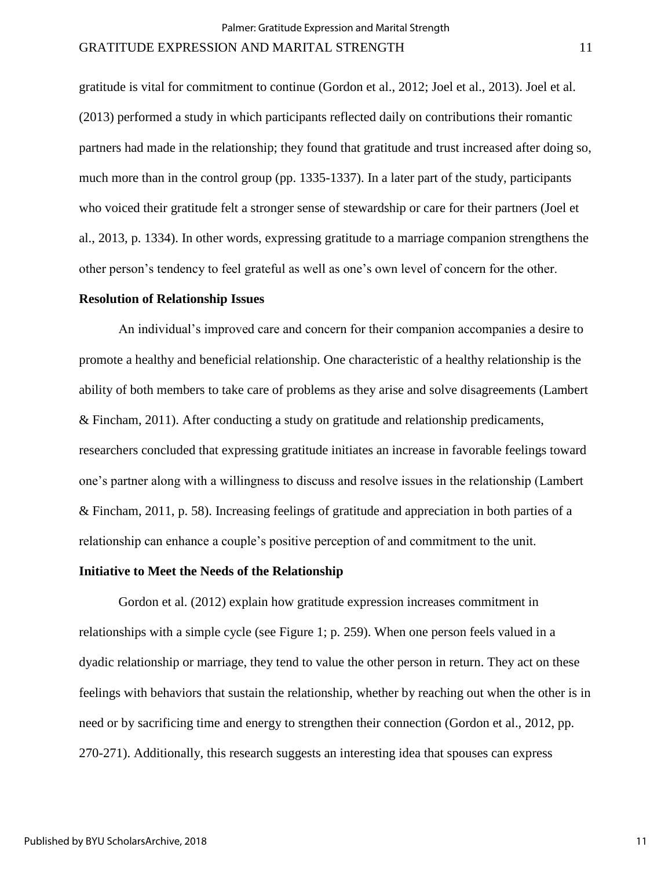gratitude is vital for commitment to continue (Gordon et al., 2012; Joel et al., 2013). Joel et al. (2013) performed a study in which participants reflected daily on contributions their romantic partners had made in the relationship; they found that gratitude and trust increased after doing so, much more than in the control group (pp. 1335-1337). In a later part of the study, participants who voiced their gratitude felt a stronger sense of stewardship or care for their partners (Joel et al., 2013, p. 1334). In other words, expressing gratitude to a marriage companion strengthens the other person's tendency to feel grateful as well as one's own level of concern for the other.

## **Resolution of Relationship Issues**

An individual's improved care and concern for their companion accompanies a desire to promote a healthy and beneficial relationship. One characteristic of a healthy relationship is the ability of both members to take care of problems as they arise and solve disagreements (Lambert & Fincham, 2011). After conducting a study on gratitude and relationship predicaments, researchers concluded that expressing gratitude initiates an increase in favorable feelings toward one's partner along with a willingness to discuss and resolve issues in the relationship (Lambert & Fincham, 2011, p. 58). Increasing feelings of gratitude and appreciation in both parties of a relationship can enhance a couple's positive perception of and commitment to the unit.

## **Initiative to Meet the Needs of the Relationship**

Gordon et al. (2012) explain how gratitude expression increases commitment in relationships with a simple cycle (see Figure 1; p. 259). When one person feels valued in a dyadic relationship or marriage, they tend to value the other person in return. They act on these feelings with behaviors that sustain the relationship, whether by reaching out when the other is in need or by sacrificing time and energy to strengthen their connection (Gordon et al., 2012, pp. 270-271). Additionally, this research suggests an interesting idea that spouses can express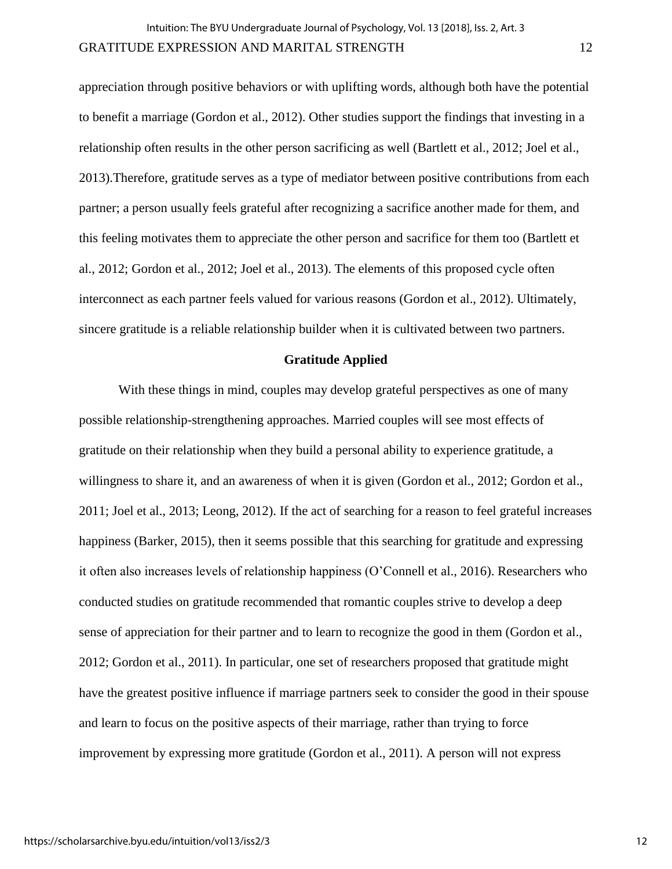appreciation through positive behaviors or with uplifting words, although both have the potential to benefit a marriage (Gordon et al., 2012). Other studies support the findings that investing in a relationship often results in the other person sacrificing as well (Bartlett et al., 2012; Joel et al., 2013).Therefore, gratitude serves as a type of mediator between positive contributions from each partner; a person usually feels grateful after recognizing a sacrifice another made for them, and this feeling motivates them to appreciate the other person and sacrifice for them too (Bartlett et al., 2012; Gordon et al., 2012; Joel et al., 2013). The elements of this proposed cycle often interconnect as each partner feels valued for various reasons (Gordon et al., 2012). Ultimately, sincere gratitude is a reliable relationship builder when it is cultivated between two partners.

#### **Gratitude Applied**

With these things in mind, couples may develop grateful perspectives as one of many possible relationship-strengthening approaches. Married couples will see most effects of gratitude on their relationship when they build a personal ability to experience gratitude, a willingness to share it, and an awareness of when it is given (Gordon et al., 2012; Gordon et al., 2011; Joel et al., 2013; Leong, 2012). If the act of searching for a reason to feel grateful increases happiness (Barker, 2015), then it seems possible that this searching for gratitude and expressing it often also increases levels of relationship happiness (O'Connell et al., 2016). Researchers who conducted studies on gratitude recommended that romantic couples strive to develop a deep sense of appreciation for their partner and to learn to recognize the good in them (Gordon et al., 2012; Gordon et al., 2011). In particular, one set of researchers proposed that gratitude might have the greatest positive influence if marriage partners seek to consider the good in their spouse and learn to focus on the positive aspects of their marriage, rather than trying to force improvement by expressing more gratitude (Gordon et al., 2011). A person will not express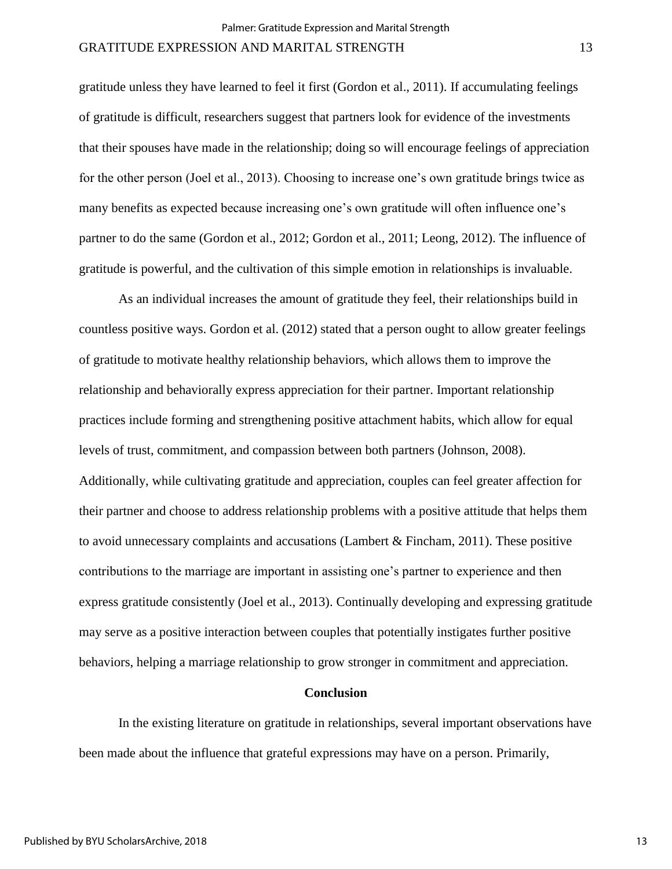gratitude unless they have learned to feel it first (Gordon et al., 2011). If accumulating feelings of gratitude is difficult, researchers suggest that partners look for evidence of the investments that their spouses have made in the relationship; doing so will encourage feelings of appreciation for the other person (Joel et al., 2013). Choosing to increase one's own gratitude brings twice as many benefits as expected because increasing one's own gratitude will often influence one's partner to do the same (Gordon et al., 2012; Gordon et al., 2011; Leong, 2012). The influence of gratitude is powerful, and the cultivation of this simple emotion in relationships is invaluable.

As an individual increases the amount of gratitude they feel, their relationships build in countless positive ways. Gordon et al. (2012) stated that a person ought to allow greater feelings of gratitude to motivate healthy relationship behaviors, which allows them to improve the relationship and behaviorally express appreciation for their partner. Important relationship practices include forming and strengthening positive attachment habits, which allow for equal levels of trust, commitment, and compassion between both partners (Johnson, 2008). Additionally, while cultivating gratitude and appreciation, couples can feel greater affection for their partner and choose to address relationship problems with a positive attitude that helps them to avoid unnecessary complaints and accusations (Lambert  $\&$  Fincham, 2011). These positive contributions to the marriage are important in assisting one's partner to experience and then express gratitude consistently (Joel et al., 2013). Continually developing and expressing gratitude may serve as a positive interaction between couples that potentially instigates further positive behaviors, helping a marriage relationship to grow stronger in commitment and appreciation.

## **Conclusion**

In the existing literature on gratitude in relationships, several important observations have been made about the influence that grateful expressions may have on a person. Primarily,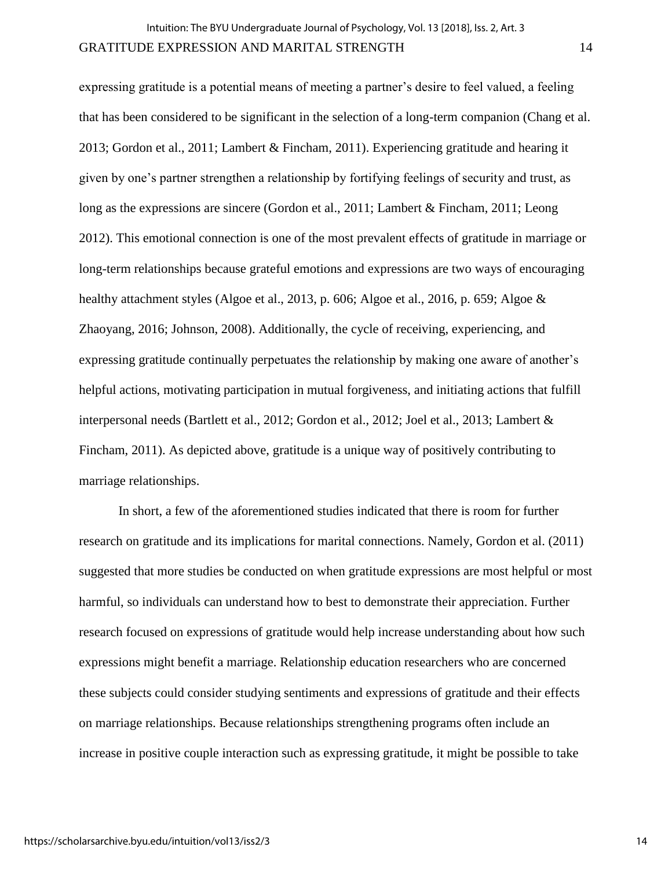expressing gratitude is a potential means of meeting a partner's desire to feel valued, a feeling that has been considered to be significant in the selection of a long-term companion (Chang et al. 2013; Gordon et al., 2011; Lambert & Fincham, 2011). Experiencing gratitude and hearing it given by one's partner strengthen a relationship by fortifying feelings of security and trust, as long as the expressions are sincere (Gordon et al., 2011; Lambert & Fincham, 2011; Leong 2012). This emotional connection is one of the most prevalent effects of gratitude in marriage or long-term relationships because grateful emotions and expressions are two ways of encouraging healthy attachment styles (Algoe et al., 2013, p. 606; Algoe et al., 2016, p. 659; Algoe & Zhaoyang, 2016; Johnson, 2008). Additionally, the cycle of receiving, experiencing, and expressing gratitude continually perpetuates the relationship by making one aware of another's helpful actions, motivating participation in mutual forgiveness, and initiating actions that fulfill interpersonal needs (Bartlett et al., 2012; Gordon et al., 2012; Joel et al., 2013; Lambert & Fincham, 2011). As depicted above, gratitude is a unique way of positively contributing to marriage relationships.

In short, a few of the aforementioned studies indicated that there is room for further research on gratitude and its implications for marital connections. Namely, Gordon et al. (2011) suggested that more studies be conducted on when gratitude expressions are most helpful or most harmful, so individuals can understand how to best to demonstrate their appreciation. Further research focused on expressions of gratitude would help increase understanding about how such expressions might benefit a marriage. Relationship education researchers who are concerned these subjects could consider studying sentiments and expressions of gratitude and their effects on marriage relationships. Because relationships strengthening programs often include an increase in positive couple interaction such as expressing gratitude, it might be possible to take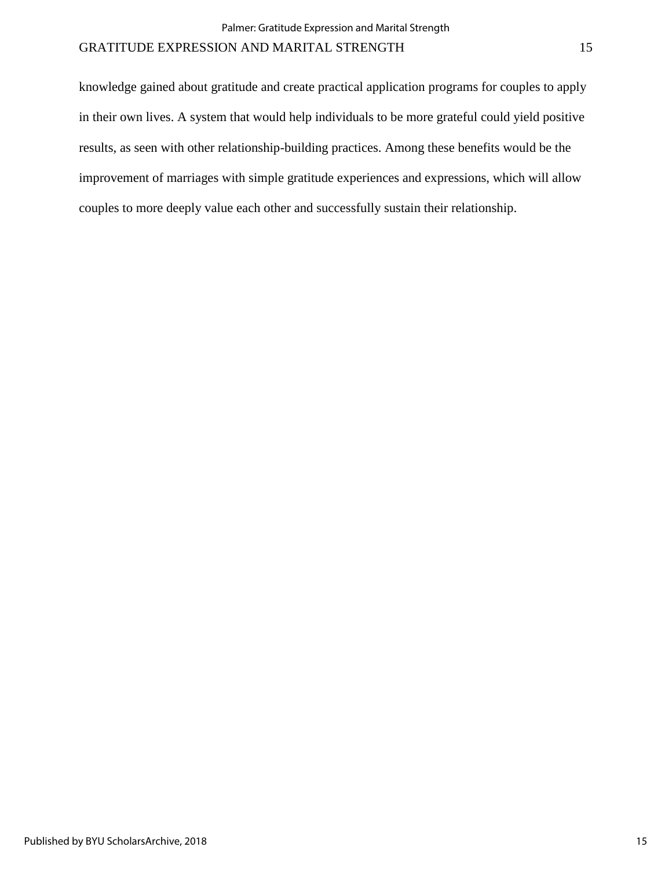knowledge gained about gratitude and create practical application programs for couples to apply in their own lives. A system that would help individuals to be more grateful could yield positive results, as seen with other relationship-building practices. Among these benefits would be the improvement of marriages with simple gratitude experiences and expressions, which will allow couples to more deeply value each other and successfully sustain their relationship.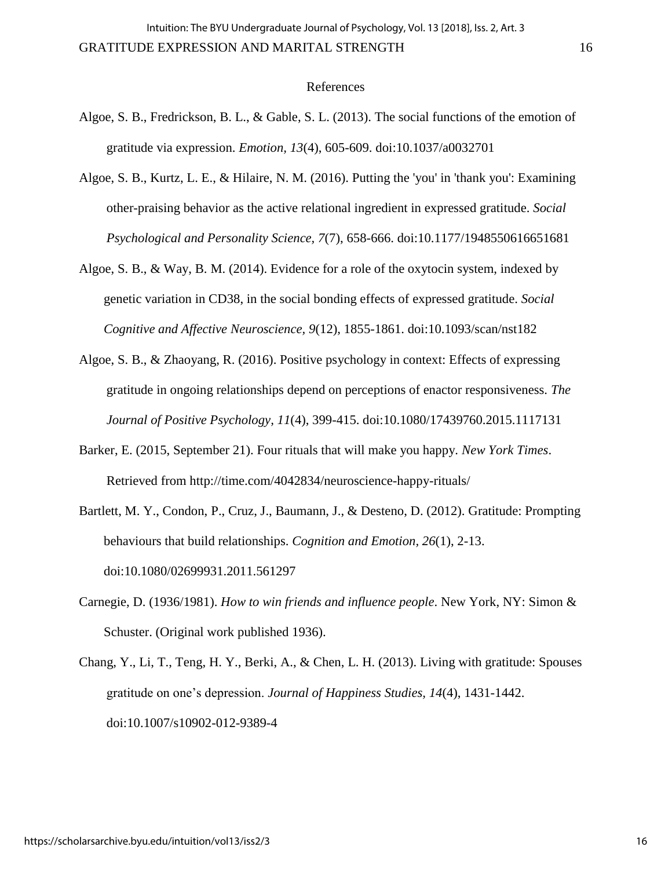#### References

- Algoe, S. B., Fredrickson, B. L., & Gable, S. L. (2013). The social functions of the emotion of gratitude via expression. *Emotion, 13*(4), 605-609. doi:10.1037/a0032701
- Algoe, S. B., Kurtz, L. E., & Hilaire, N. M. (2016). Putting the 'you' in 'thank you': Examining other-praising behavior as the active relational ingredient in expressed gratitude. *Social Psychological and Personality Science, 7*(7), 658-666. doi:10.1177/1948550616651681
- Algoe, S. B., & Way, B. M. (2014). Evidence for a role of the oxytocin system, indexed by genetic variation in CD38, in the social bonding effects of expressed gratitude. *Social Cognitive and Affective Neuroscience, 9*(12), 1855-1861. doi:10.1093/scan/nst182
- Algoe, S. B., & Zhaoyang, R. (2016). Positive psychology in context: Effects of expressing gratitude in ongoing relationships depend on perceptions of enactor responsiveness. *The Journal of Positive Psychology, 11*(4), 399-415. doi:10.1080/17439760.2015.1117131
- Barker, E. (2015, September 21). Four rituals that will make you happy. *New York Times*. Retrieved from http://time.com/4042834/neuroscience-happy-rituals/
- Bartlett, M. Y., Condon, P., Cruz, J., Baumann, J., & Desteno, D. (2012). Gratitude: Prompting behaviours that build relationships. *Cognition and Emotion, 26*(1), 2-13. doi:10.1080/02699931.2011.561297
- Carnegie, D. (1936/1981). *How to win friends and influence people*. New York, NY: Simon & Schuster. (Original work published 1936).
- Chang, Y., Li, T., Teng, H. Y., Berki, A., & Chen, L. H. (2013). Living with gratitude: Spouses gratitude on one's depression. *Journal of Happiness Studies, 14*(4), 1431-1442. doi:10.1007/s10902-012-9389-4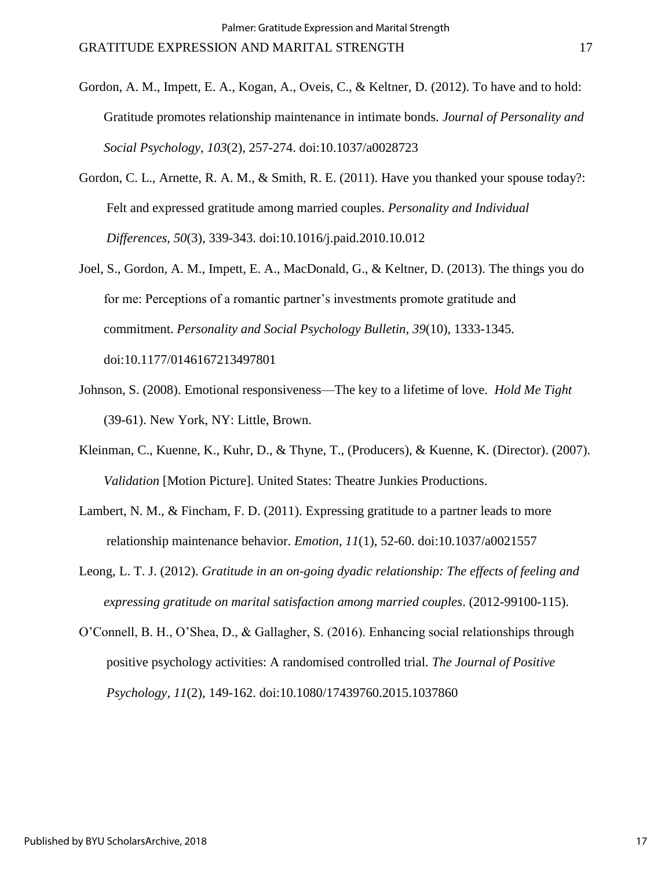- Gordon, A. M., Impett, E. A., Kogan, A., Oveis, C., & Keltner, D. (2012). To have and to hold: Gratitude promotes relationship maintenance in intimate bonds. *Journal of Personality and Social Psychology, 103*(2), 257-274. doi:10.1037/a0028723
- Gordon, C. L., Arnette, R. A. M., & Smith, R. E. (2011). Have you thanked your spouse today?: Felt and expressed gratitude among married couples. *Personality and Individual Differences, 50*(3), 339-343. doi:10.1016/j.paid.2010.10.012
- Joel, S., Gordon, A. M., Impett, E. A., MacDonald, G., & Keltner, D. (2013). The things you do for me: Perceptions of a romantic partner's investments promote gratitude and commitment. *Personality and Social Psychology Bulletin, 39*(10), 1333-1345. doi:10.1177/0146167213497801
- Johnson, S. (2008). Emotional responsiveness—The key to a lifetime of love. *Hold Me Tight* (39-61). New York, NY: Little, Brown.
- Kleinman, C., Kuenne, K., Kuhr, D., & Thyne, T., (Producers), & Kuenne, K. (Director). (2007). *Validation* [Motion Picture]. United States: Theatre Junkies Productions.
- Lambert, N. M., & Fincham, F. D. (2011). Expressing gratitude to a partner leads to more relationship maintenance behavior. *Emotion, 11*(1), 52-60. doi:10.1037/a0021557
- Leong, L. T. J. (2012). *Gratitude in an on-going dyadic relationship: The effects of feeling and expressing gratitude on marital satisfaction among married couples*. (2012-99100-115).
- O'Connell, B. H., O'Shea, D., & Gallagher, S. (2016). Enhancing social relationships through positive psychology activities: A randomised controlled trial. *The Journal of Positive Psychology, 11*(2), 149-162. doi:10.1080/17439760.2015.1037860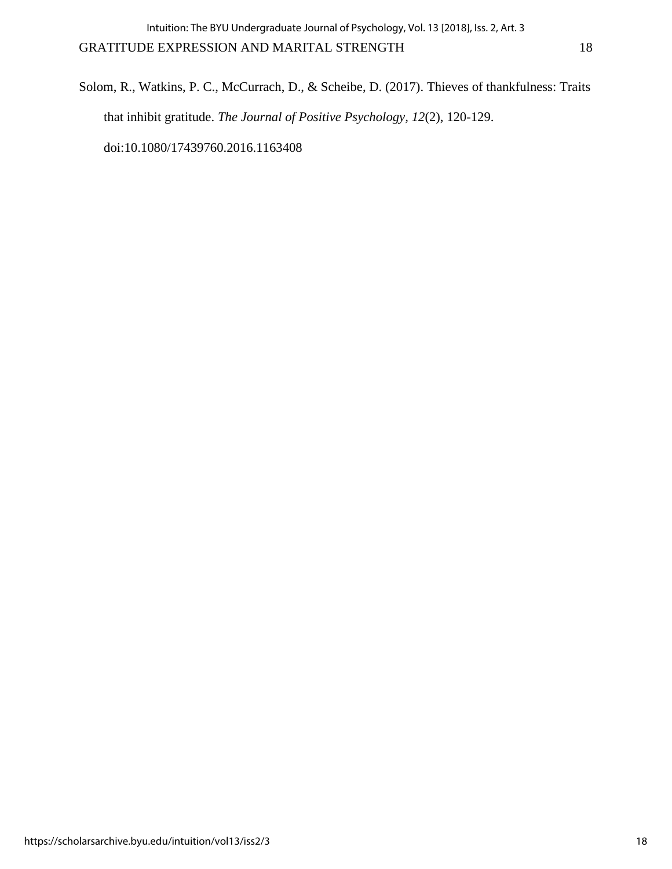Solom, R., Watkins, P. C., McCurrach, D., & Scheibe, D. (2017). Thieves of thankfulness: Traits that inhibit gratitude. *The Journal of Positive Psychology, 12*(2), 120-129. doi:10.1080/17439760.2016.1163408